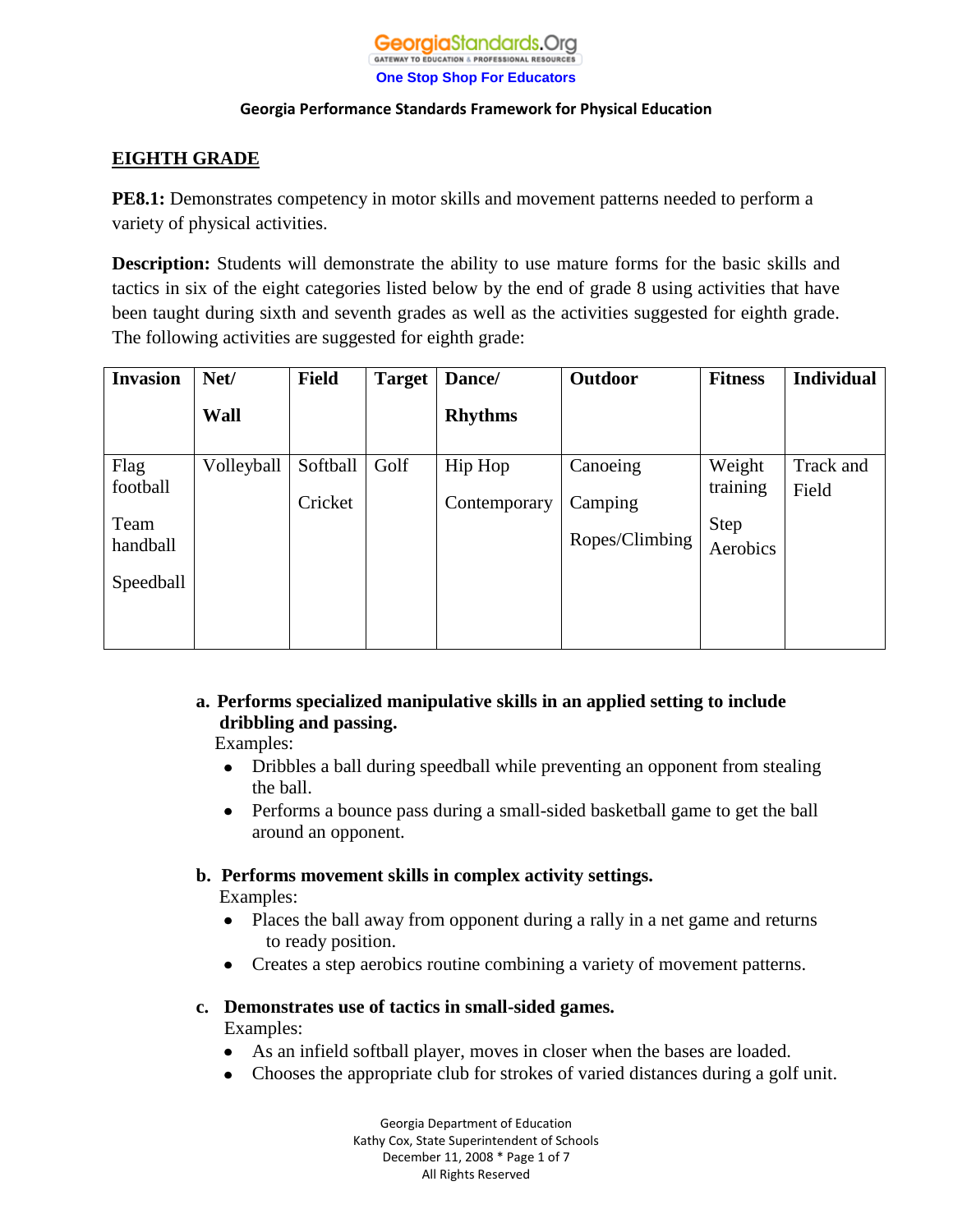#### **Georgia**Standards.Ora GATEWAY TO EDUCATION & PROFESSIONAL RESOURCES **One Stop Shop For Educators**

#### **Georgia Performance Standards Framework for Physical Education**

# **EIGHTH GRADE**

**PE8.1:** Demonstrates competency in motor skills and movement patterns needed to perform a variety of physical activities.

**Description:** Students will demonstrate the ability to use mature forms for the basic skills and tactics in six of the eight categories listed below by the end of grade 8 using activities that have been taught during sixth and seventh grades as well as the activities suggested for eighth grade. The following activities are suggested for eighth grade:

| <b>Invasion</b> | Net/       | <b>Field</b> | <b>Target</b> | Dance/         | Outdoor        | <b>Fitness</b> | <b>Individual</b> |
|-----------------|------------|--------------|---------------|----------------|----------------|----------------|-------------------|
|                 | Wall       |              |               | <b>Rhythms</b> |                |                |                   |
| Flag            | Volleyball | Softball     | Golf          | Hip Hop        | Canoeing       | Weight         | Track and         |
| football        |            | Cricket      |               | Contemporary   | Camping        | training       | Field             |
| Team            |            |              |               |                |                | <b>Step</b>    |                   |
| handball        |            |              |               |                | Ropes/Climbing | Aerobics       |                   |
| Speedball       |            |              |               |                |                |                |                   |
|                 |            |              |               |                |                |                |                   |
|                 |            |              |               |                |                |                |                   |

# **a. Performs specialized manipulative skills in an applied setting to include dribbling and passing.**

Examples:

- Dribbles a ball during speedball while preventing an opponent from stealing  $\bullet$ the ball.
- Performs a bounce pass during a small-sided basketball game to get the ball  $\bullet$ around an opponent.

# **b. Performs movement skills in complex activity settings.**

Examples:

- Places the ball away from opponent during a rally in a net game and returns  $\bullet$ to ready position.
- Creates a step aerobics routine combining a variety of movement patterns.

### **c. Demonstrates use of tactics in small-sided games.**

Examples:

- As an infield softball player, moves in closer when the bases are loaded.
- Chooses the appropriate club for strokes of varied distances during a golf unit.

Georgia Department of Education Kathy Cox, State Superintendent of Schools December 11, 2008 \* Page 1 of 7 All Rights Reserved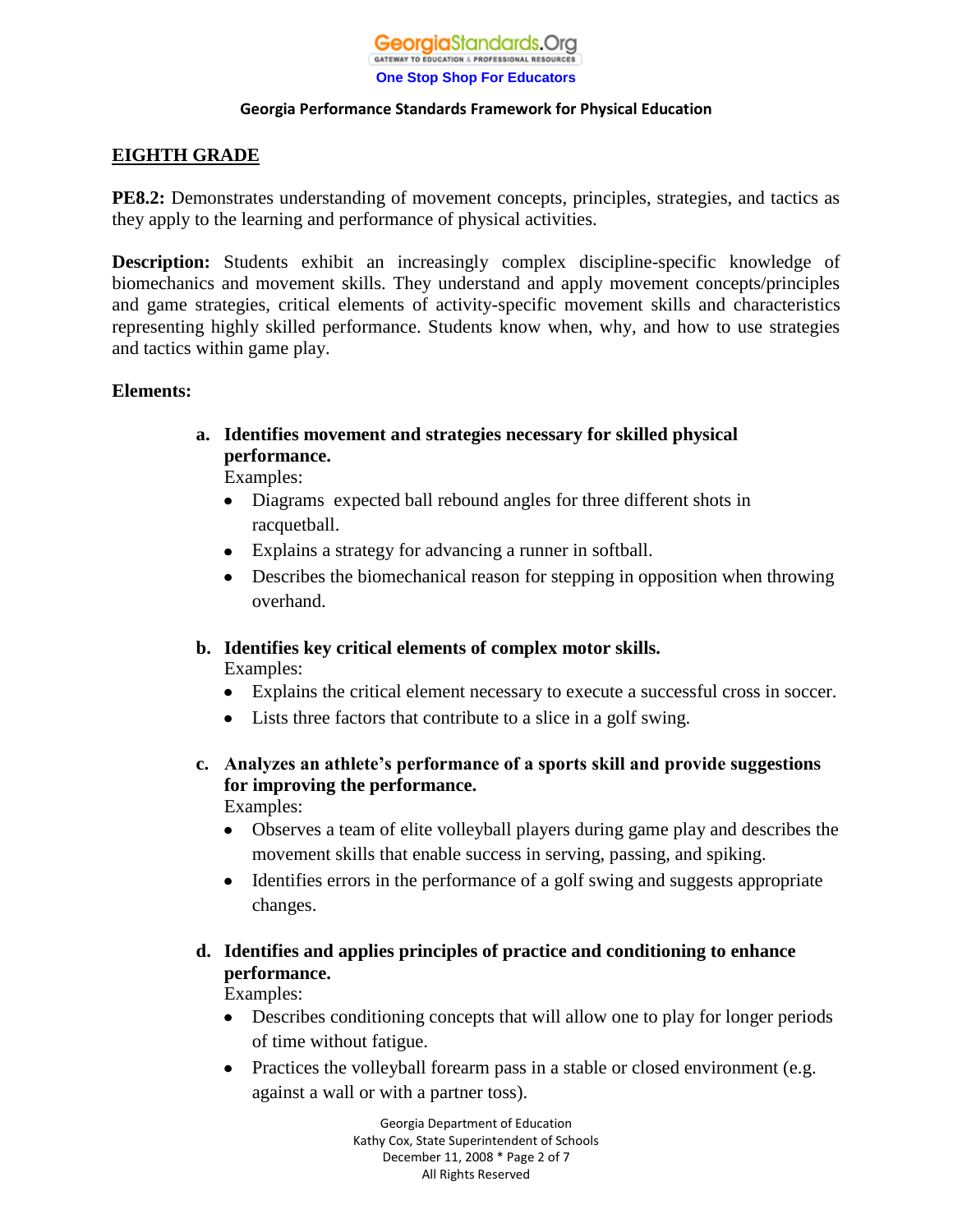# **EIGHTH GRADE**

**PE8.2:** Demonstrates understanding of movement concepts, principles, strategies, and tactics as they apply to the learning and performance of physical activities.

**Description:** Students exhibit an increasingly complex discipline-specific knowledge of biomechanics and movement skills. They understand and apply movement concepts/principles and game strategies, critical elements of activity-specific movement skills and characteristics representing highly skilled performance. Students know when, why, and how to use strategies and tactics within game play.

# **Elements:**

**a. Identifies movement and strategies necessary for skilled physical performance.**

Examples:

- Diagrams expected ball rebound angles for three different shots in  $\bullet$ racquetball.
- Explains a strategy for advancing a runner in softball.
- Describes the biomechanical reason for stepping in opposition when throwing overhand.
- **b. Identifies key critical elements of complex motor skills.** Examples:
	- Explains the critical element necessary to execute a successful cross in soccer.
	- Lists three factors that contribute to a slice in a golf swing.
- **c. Analyzes an athlete's performance of a sports skill and provide suggestions for improving the performance.** Examples:
	- Observes a team of elite volleyball players during game play and describes the movement skills that enable success in serving, passing, and spiking.
	- Identifies errors in the performance of a golf swing and suggests appropriate changes.
- **d. Identifies and applies principles of practice and conditioning to enhance performance.** Examples:
	- Describes conditioning concepts that will allow one to play for longer periods of time without fatigue.
	- $\bullet$ Practices the volleyball forearm pass in a stable or closed environment (e.g. against a wall or with a partner toss).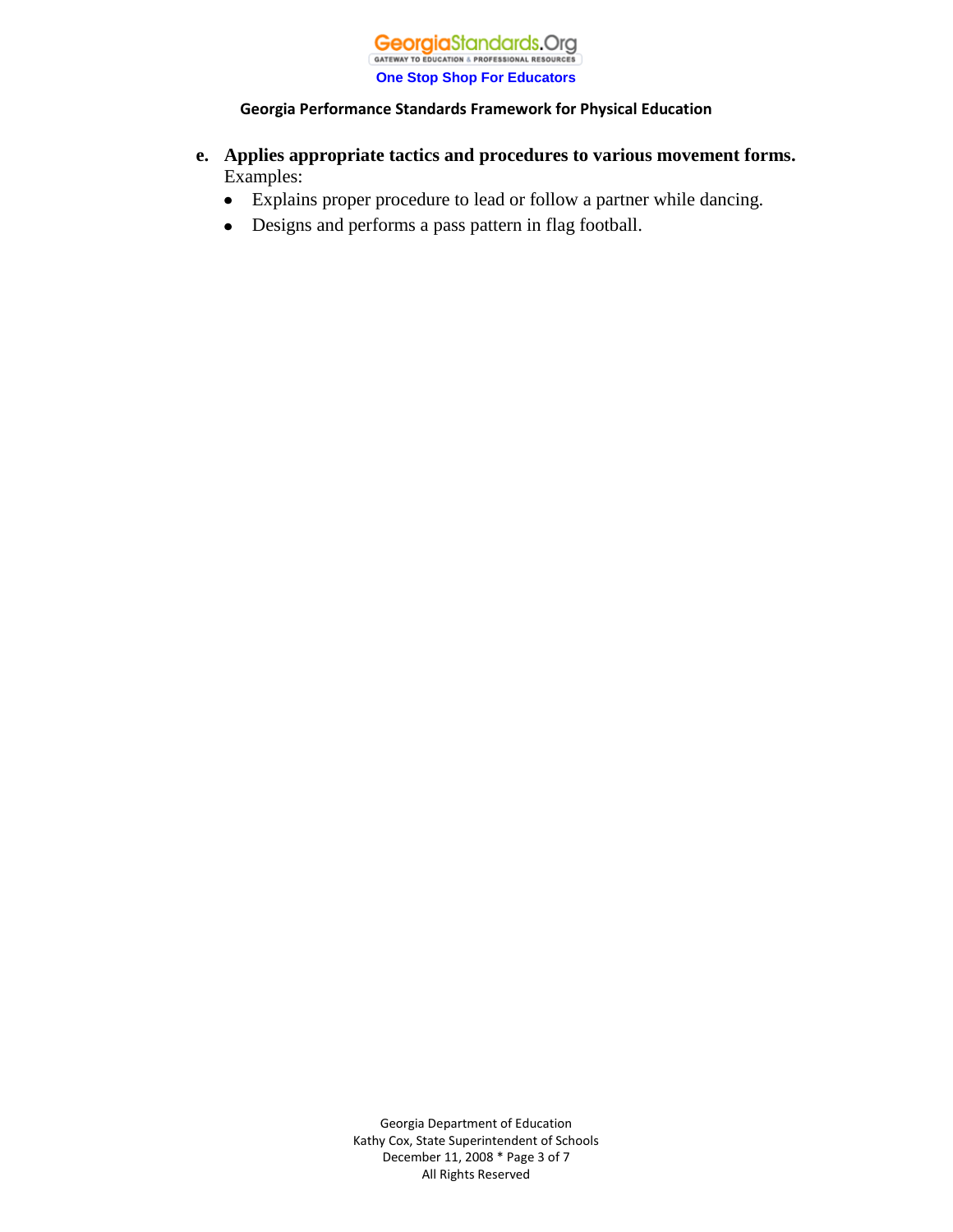

- **e. Applies appropriate tactics and procedures to various movement forms.** Examples:
	- Explains proper procedure to lead or follow a partner while dancing.
	- Designs and performs a pass pattern in flag football. $\bullet$

Georgia Department of Education Kathy Cox, State Superintendent of Schools December 11, 2008 \* Page 3 of 7 All Rights Reserved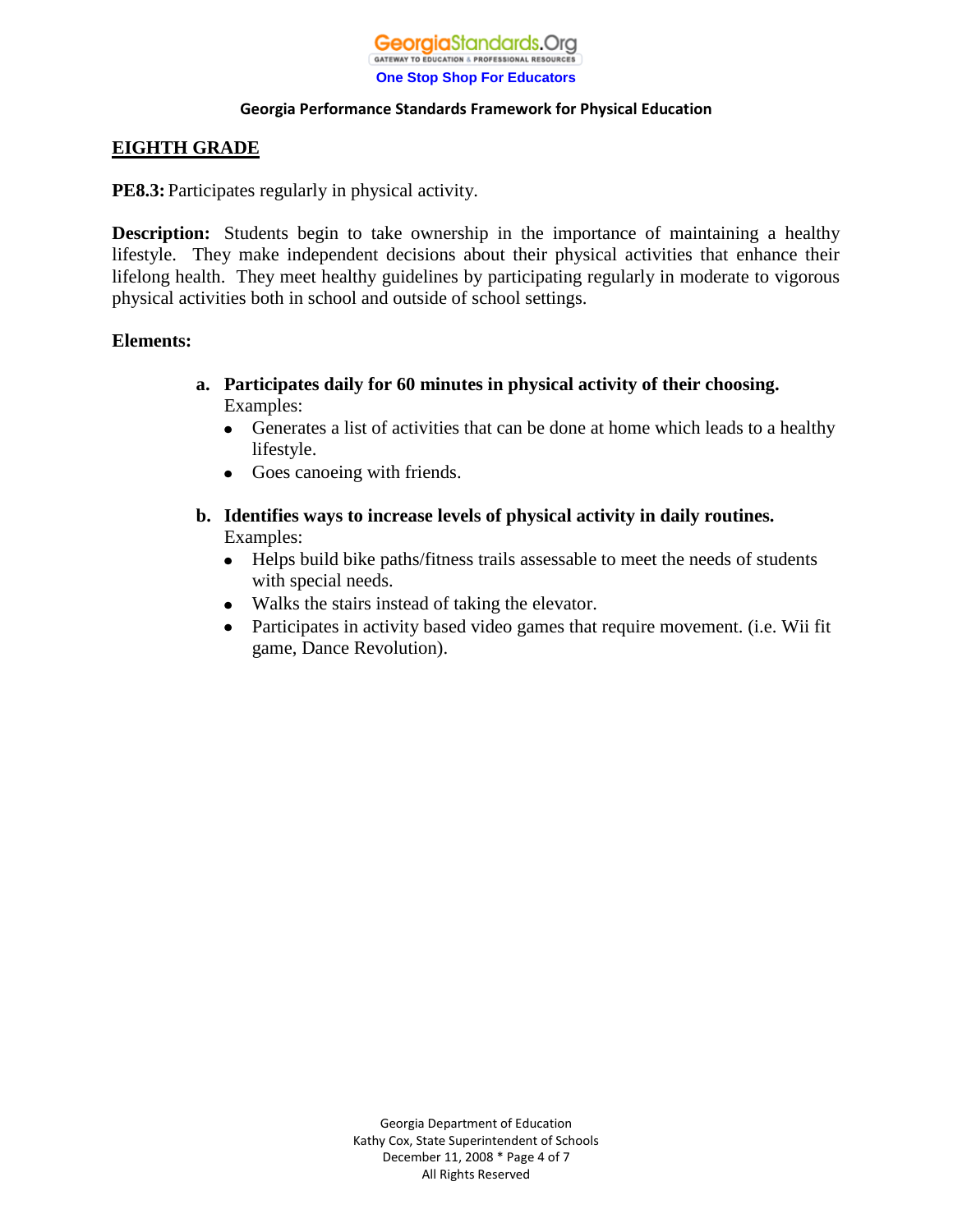### **EIGHTH GRADE**

**PE8.3:** Participates regularly in physical activity.

**Description:** Students begin to take ownership in the importance of maintaining a healthy lifestyle. They make independent decisions about their physical activities that enhance their lifelong health. They meet healthy guidelines by participating regularly in moderate to vigorous physical activities both in school and outside of school settings.

### **Elements:**

- **a. Participates daily for 60 minutes in physical activity of their choosing.** Examples:
	- Generates a list of activities that can be done at home which leads to a healthy lifestyle.
	- Goes canoeing with friends.
- **b. Identifies ways to increase levels of physical activity in daily routines.**  Examples:
	- Helps build bike paths/fitness trails assessable to meet the needs of students  $\bullet$ with special needs.
	- Walks the stairs instead of taking the elevator.
	- Participates in activity based video games that require movement. (i.e. Wii fit  $\bullet$ game, Dance Revolution).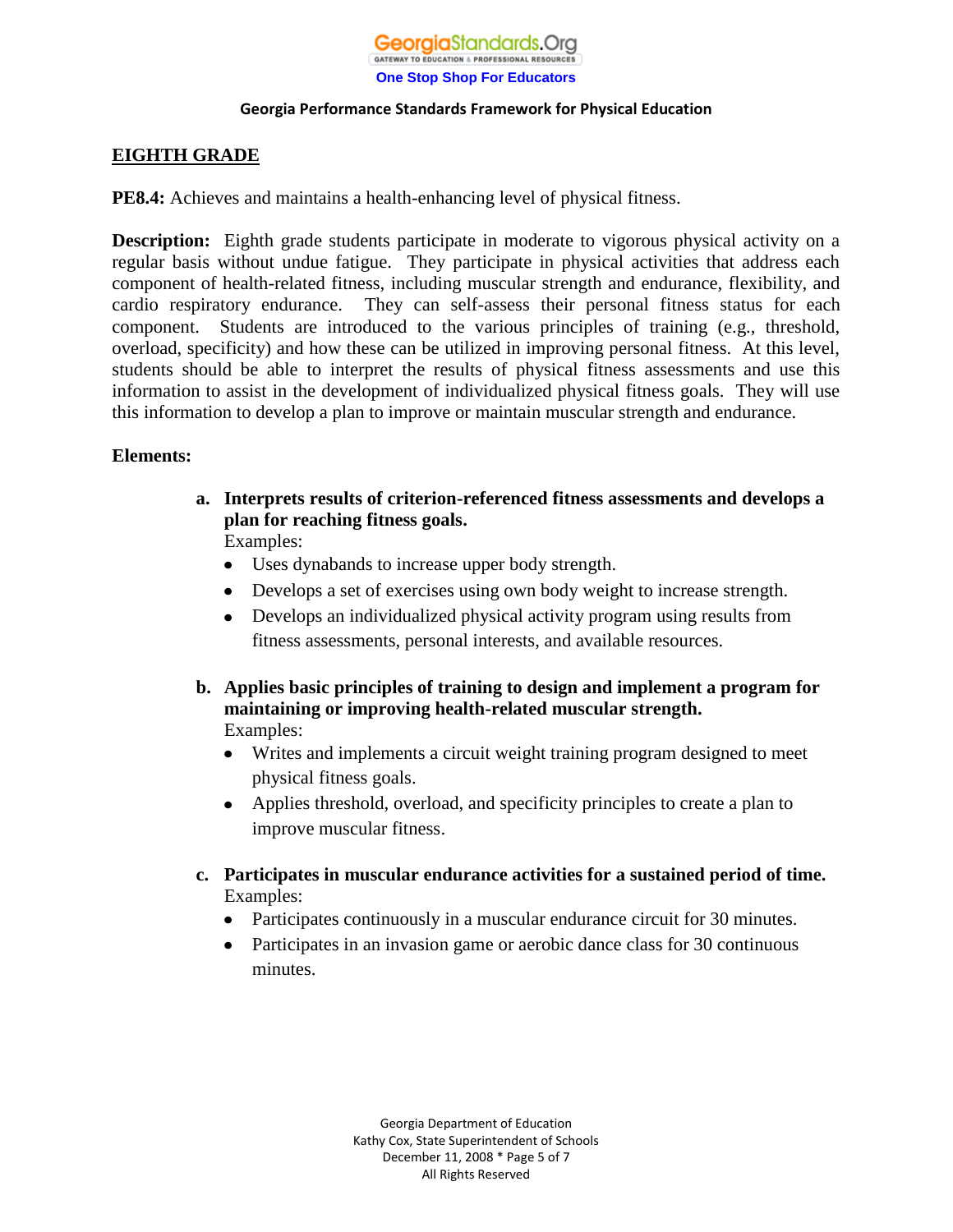

# **EIGHTH GRADE**

**PE8.4:** Achieves and maintains a health-enhancing level of physical fitness.

**Description:** Eighth grade students participate in moderate to vigorous physical activity on a regular basis without undue fatigue. They participate in physical activities that address each component of health-related fitness, including muscular strength and endurance, flexibility, and cardio respiratory endurance. They can self-assess their personal fitness status for each component. Students are introduced to the various principles of training (e.g., threshold, overload, specificity) and how these can be utilized in improving personal fitness. At this level, students should be able to interpret the results of physical fitness assessments and use this information to assist in the development of individualized physical fitness goals. They will use this information to develop a plan to improve or maintain muscular strength and endurance.

# **Elements:**

- **a. Interprets results of criterion-referenced fitness assessments and develops a plan for reaching fitness goals.** Examples:
	- Uses dynabands to increase upper body strength.
	- Develops a set of exercises using own body weight to increase strength.
	- $\bullet$ Develops an individualized physical activity program using results from fitness assessments, personal interests, and available resources.
- **b. Applies basic principles of training to design and implement a program for maintaining or improving health-related muscular strength.** Examples:
	- Writes and implements a circuit weight training program designed to meet physical fitness goals.
	- Applies threshold, overload, and specificity principles to create a plan to improve muscular fitness.
- **c. Participates in muscular endurance activities for a sustained period of time.** Examples:
	- Participates continuously in a muscular endurance circuit for 30 minutes.  $\bullet$
	- $\bullet$ Participates in an invasion game or aerobic dance class for 30 continuous minutes.

Georgia Department of Education Kathy Cox, State Superintendent of Schools December 11, 2008 \* Page 5 of 7 All Rights Reserved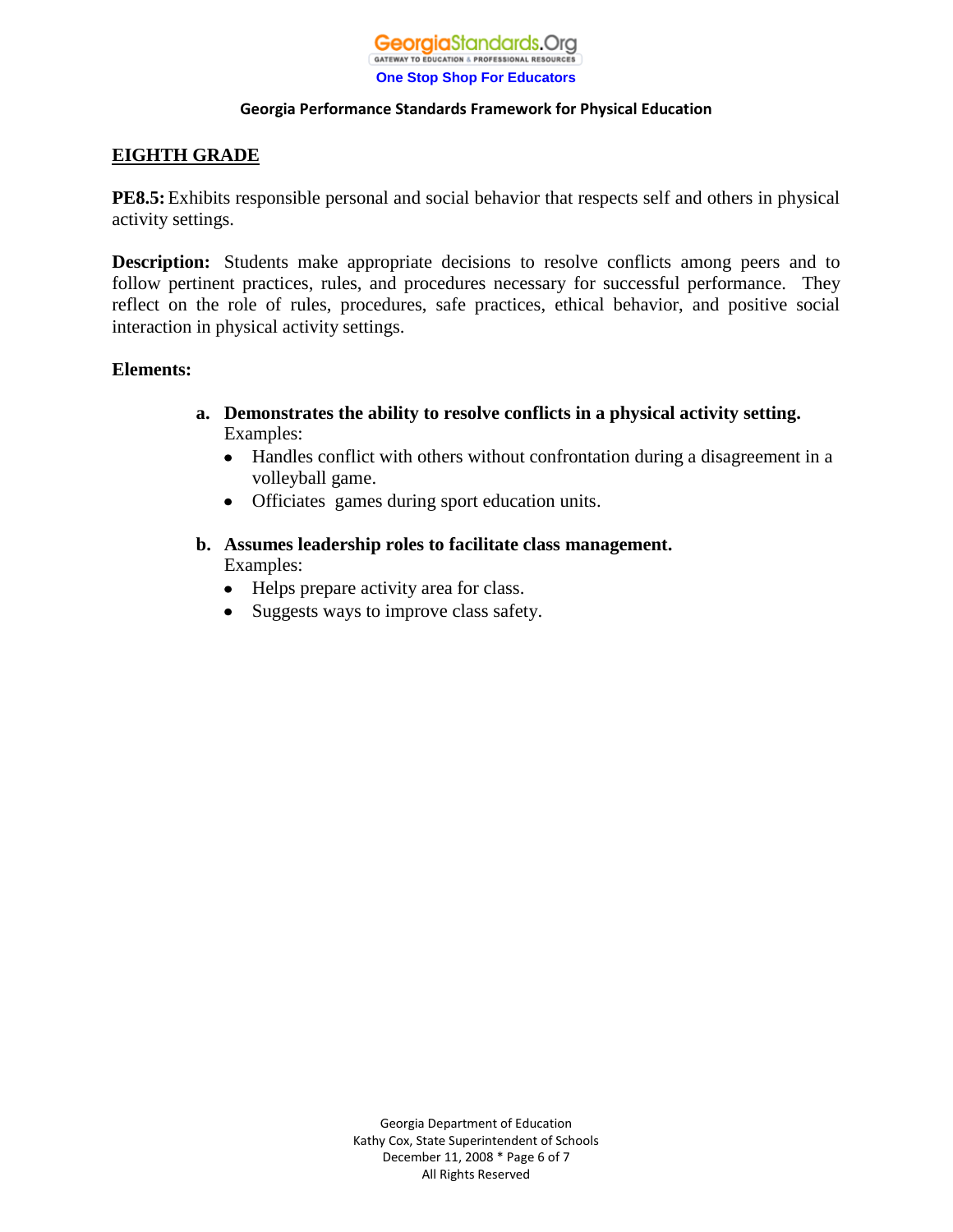# **EIGHTH GRADE**

**PE8.5:**Exhibits responsible personal and social behavior that respects self and others in physical activity settings.

**Description:** Students make appropriate decisions to resolve conflicts among peers and to follow pertinent practices, rules, and procedures necessary for successful performance. They reflect on the role of rules, procedures, safe practices, ethical behavior, and positive social interaction in physical activity settings.

### **Elements:**

- **a. Demonstrates the ability to resolve conflicts in a physical activity setting.** Examples:
	- Handles conflict with others without confrontation during a disagreement in a  $\bullet$ volleyball game.
	- Officiates games during sport education units.
- **b. Assumes leadership roles to facilitate class management.** Examples:
	- Helps prepare activity area for class.
	- Suggests ways to improve class safety.

Georgia Department of Education Kathy Cox, State Superintendent of Schools December 11, 2008 \* Page 6 of 7 All Rights Reserved